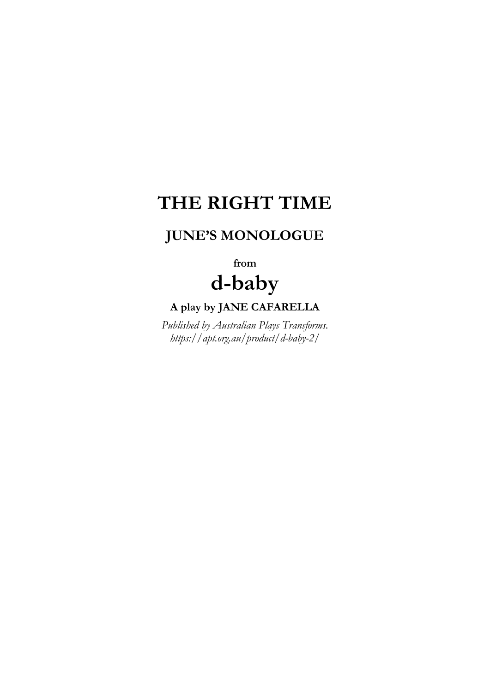## **THE RIGHT TIME**

## **JUNE'S MONOLOGUE**

**from d-baby**

## **A play by JANE CAFARELLA**

*Published by Australian Plays Transforms. https://apt.org.au/product/d-baby-2/*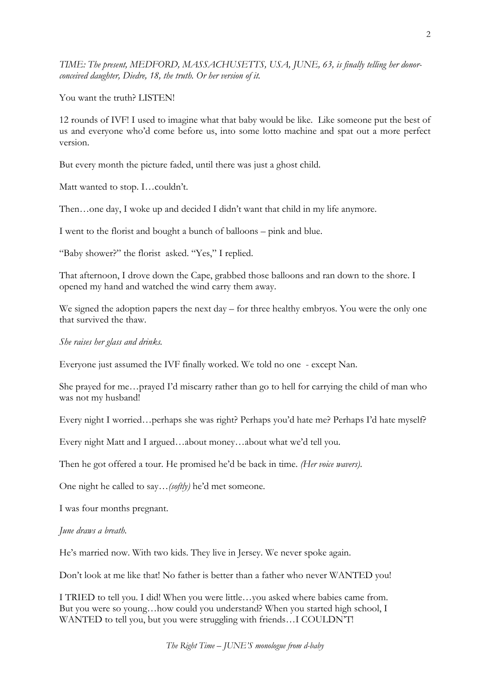*TIME: The present, MEDFORD, MASSACHUSETTS, USA, JUNE, 63, is finally telling her donorconceived daughter, Diedre, 18, the truth. Or her version of it.*

You want the truth? LISTEN!

12 rounds of IVF! I used to imagine what that baby would be like. Like someone put the best of us and everyone who'd come before us, into some lotto machine and spat out a more perfect version.

But every month the picture faded, until there was just a ghost child.

Matt wanted to stop. I…couldn't.

Then…one day, I woke up and decided I didn't want that child in my life anymore.

I went to the florist and bought a bunch of balloons – pink and blue.

"Baby shower?" the florist asked. "Yes," I replied.

That afternoon, I drove down the Cape, grabbed those balloons and ran down to the shore. I opened my hand and watched the wind carry them away.

We signed the adoption papers the next day – for three healthy embryos. You were the only one that survived the thaw.

*She raises her glass and drinks.*

Everyone just assumed the IVF finally worked. We told no one - except Nan.

She prayed for me…prayed I'd miscarry rather than go to hell for carrying the child of man who was not my husband!

Every night I worried…perhaps she was right? Perhaps you'd hate me? Perhaps I'd hate myself?

Every night Matt and I argued…about money…about what we'd tell you.

Then he got offered a tour. He promised he'd be back in time. *(Her voice wavers)*.

One night he called to say…*(softly)* he'd met someone.

I was four months pregnant.

*June draws a breath.*

He's married now. With two kids. They live in Jersey. We never spoke again.

Don't look at me like that! No father is better than a father who never WANTED you!

I TRIED to tell you. I did! When you were little…you asked where babies came from. But you were so young…how could you understand? When you started high school, I WANTED to tell you, but you were struggling with friends…I COULDN'T!